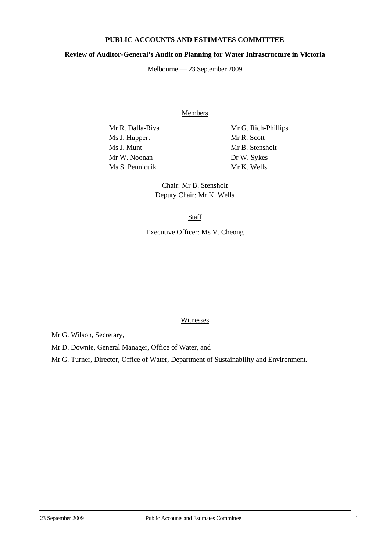# **PUBLIC ACCOUNTS AND ESTIMATES COMMITTEE**

### **Review of Auditor-General's Audit on Planning for Water Infrastructure in Victoria**

Melbourne — 23 September 2009

Members

Ms J. Huppert Mr R. Scott Ms J. Munt Mr B. Stensholt Mr W. Noonan Dr W. Sykes Ms S. Pennicuik Mr K. Wells

Mr R. Dalla-Riva Mr G. Rich-Phillips

Chair: Mr B. Stensholt Deputy Chair: Mr K. Wells

**Staff** 

Executive Officer: Ms V. Cheong

#### Witnesses

Mr G. Wilson, Secretary,

Mr D. Downie, General Manager, Office of Water, and

Mr G. Turner, Director, Office of Water, Department of Sustainability and Environment.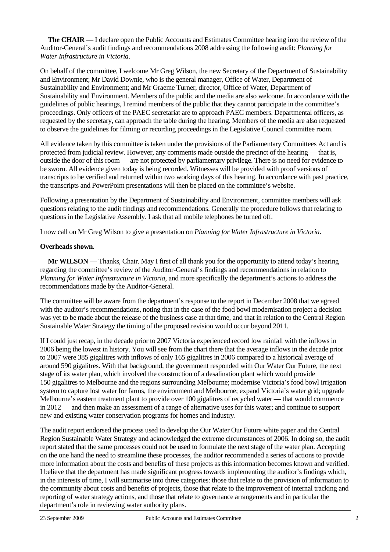**The CHAIR** — I declare open the Public Accounts and Estimates Committee hearing into the review of the Auditor-General's audit findings and recommendations 2008 addressing the following audit: *Planning for Water Infrastructure in Victoria*.

On behalf of the committee, I welcome Mr Greg Wilson, the new Secretary of the Department of Sustainability and Environment; Mr David Downie, who is the general manager, Office of Water, Department of Sustainability and Environment; and Mr Graeme Turner, director, Office of Water, Department of Sustainability and Environment. Members of the public and the media are also welcome. In accordance with the guidelines of public hearings, I remind members of the public that they cannot participate in the committee's proceedings. Only officers of the PAEC secretariat are to approach PAEC members. Departmental officers, as requested by the secretary, can approach the table during the hearing. Members of the media are also requested to observe the guidelines for filming or recording proceedings in the Legislative Council committee room.

All evidence taken by this committee is taken under the provisions of the Parliamentary Committees Act and is protected from judicial review. However, any comments made outside the precinct of the hearing — that is, outside the door of this room — are not protected by parliamentary privilege. There is no need for evidence to be sworn. All evidence given today is being recorded. Witnesses will be provided with proof versions of transcripts to be verified and returned within two working days of this hearing. In accordance with past practice, the transcripts and PowerPoint presentations will then be placed on the committee's website.

Following a presentation by the Department of Sustainability and Environment, committee members will ask questions relating to the audit findings and recommendations. Generally the procedure follows that relating to questions in the Legislative Assembly. I ask that all mobile telephones be turned off.

I now call on Mr Greg Wilson to give a presentation on *Planning for Water Infrastructure in Victoria*.

### **Overheads shown.**

**Mr WILSON** — Thanks, Chair. May I first of all thank you for the opportunity to attend today's hearing regarding the committee's review of the Auditor-General's findings and recommendations in relation to *Planning for Water Infrastructure in Victoria*, and more specifically the department's actions to address the recommendations made by the Auditor-General.

The committee will be aware from the department's response to the report in December 2008 that we agreed with the auditor's recommendations, noting that in the case of the food bowl modernisation project a decision was yet to be made about the release of the business case at that time, and that in relation to the Central Region Sustainable Water Strategy the timing of the proposed revision would occur beyond 2011.

If I could just recap, in the decade prior to 2007 Victoria experienced record low rainfall with the inflows in 2006 being the lowest in history. You will see from the chart there that the average inflows in the decade prior to 2007 were 385 gigalitres with inflows of only 165 gigalitres in 2006 compared to a historical average of around 590 gigalitres. With that background, the government responded with Our Water Our Future, the next stage of its water plan, which involved the construction of a desalination plant which would provide 150 gigalitres to Melbourne and the regions surrounding Melbourne; modernise Victoria's food bowl irrigation system to capture lost water for farms, the environment and Melbourne; expand Victoria's water grid; upgrade Melbourne's eastern treatment plant to provide over 100 gigalitres of recycled water — that would commence in 2012 — and then make an assessment of a range of alternative uses for this water; and continue to support new and existing water conservation programs for homes and industry.

The audit report endorsed the process used to develop the Our Water Our Future white paper and the Central Region Sustainable Water Strategy and acknowledged the extreme circumstances of 2006. In doing so, the audit report stated that the same processes could not be used to formulate the next stage of the water plan. Accepting on the one hand the need to streamline these processes, the auditor recommended a series of actions to provide more information about the costs and benefits of these projects as this information becomes known and verified. I believe that the department has made significant progress towards implementing the auditor's findings which, in the interests of time, I will summarise into three categories: those that relate to the provision of information to the community about costs and benefits of projects, those that relate to the improvement of internal tracking and reporting of water strategy actions, and those that relate to governance arrangements and in particular the department's role in reviewing water authority plans.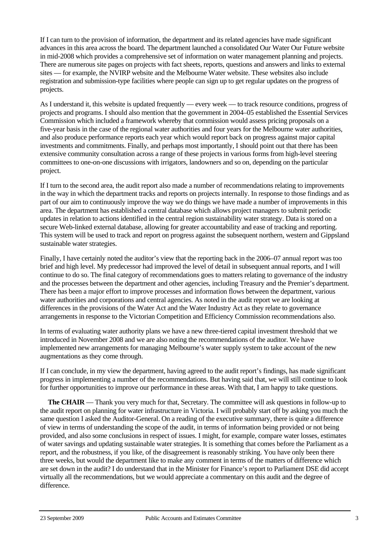If I can turn to the provision of information, the department and its related agencies have made significant advances in this area across the board. The department launched a consolidated Our Water Our Future website in mid-2008 which provides a comprehensive set of information on water management planning and projects. There are numerous site pages on projects with fact sheets, reports, questions and answers and links to external sites — for example, the NVIRP website and the Melbourne Water website. These websites also include registration and submission-type facilities where people can sign up to get regular updates on the progress of projects.

As I understand it, this website is updated frequently — every week — to track resource conditions, progress of projects and programs. I should also mention that the government in 2004–05 established the Essential Services Commission which included a framework whereby that commission would assess pricing proposals on a five-year basis in the case of the regional water authorities and four years for the Melbourne water authorities, and also produce performance reports each year which would report back on progress against major capital investments and commitments. Finally, and perhaps most importantly, I should point out that there has been extensive community consultation across a range of these projects in various forms from high-level steering committees to one-on-one discussions with irrigators, landowners and so on, depending on the particular project.

If I turn to the second area, the audit report also made a number of recommendations relating to improvements in the way in which the department tracks and reports on projects internally. In response to those findings and as part of our aim to continuously improve the way we do things we have made a number of improvements in this area. The department has established a central database which allows project managers to submit periodic updates in relation to actions identified in the central region sustainability water strategy. Data is stored on a secure Web-linked external database, allowing for greater accountability and ease of tracking and reporting. This system will be used to track and report on progress against the subsequent northern, western and Gippsland sustainable water strategies.

Finally, I have certainly noted the auditor's view that the reporting back in the 2006–07 annual report was too brief and high level. My predecessor had improved the level of detail in subsequent annual reports, and I will continue to do so. The final category of recommendations goes to matters relating to governance of the industry and the processes between the department and other agencies, including Treasury and the Premier's department. There has been a major effort to improve processes and information flows between the department, various water authorities and corporations and central agencies. As noted in the audit report we are looking at differences in the provisions of the Water Act and the Water Industry Act as they relate to governance arrangements in response to the Victorian Competition and Efficiency Commission recommendations also.

In terms of evaluating water authority plans we have a new three-tiered capital investment threshold that we introduced in November 2008 and we are also noting the recommendations of the auditor. We have implemented new arrangements for managing Melbourne's water supply system to take account of the new augmentations as they come through.

If I can conclude, in my view the department, having agreed to the audit report's findings, has made significant progress in implementing a number of the recommendations. But having said that, we will still continue to look for further opportunities to improve our performance in these areas. With that, I am happy to take questions.

**The CHAIR** — Thank you very much for that, Secretary. The committee will ask questions in follow-up to the audit report on planning for water infrastructure in Victoria. I will probably start off by asking you much the same question I asked the Auditor-General. On a reading of the executive summary, there is quite a difference of view in terms of understanding the scope of the audit, in terms of information being provided or not being provided, and also some conclusions in respect of issues. I might, for example, compare water losses, estimates of water savings and updating sustainable water strategies. It is something that comes before the Parliament as a report, and the robustness, if you like, of the disagreement is reasonably striking. You have only been there three weeks, but would the department like to make any comment in terms of the matters of difference which are set down in the audit? I do understand that in the Minister for Finance's report to Parliament DSE did accept virtually all the recommendations, but we would appreciate a commentary on this audit and the degree of difference.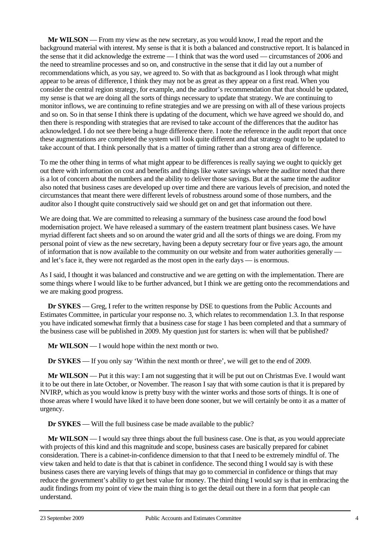**Mr WILSON** — From my view as the new secretary, as you would know, I read the report and the background material with interest. My sense is that it is both a balanced and constructive report. It is balanced in the sense that it did acknowledge the extreme — I think that was the word used — circumstances of 2006 and the need to streamline processes and so on, and constructive in the sense that it did lay out a number of recommendations which, as you say, we agreed to. So with that as background as I look through what might appear to be areas of difference, I think they may not be as great as they appear on a first read. When you consider the central region strategy, for example, and the auditor's recommendation that that should be updated, my sense is that we are doing all the sorts of things necessary to update that strategy. We are continuing to monitor inflows, we are continuing to refine strategies and we are pressing on with all of these various projects and so on. So in that sense I think there is updating of the document, which we have agreed we should do, and then there is responding with strategies that are revised to take account of the differences that the auditor has acknowledged. I do not see there being a huge difference there. I note the reference in the audit report that once these augmentations are completed the system will look quite different and that strategy ought to be updated to take account of that. I think personally that is a matter of timing rather than a strong area of difference.

To me the other thing in terms of what might appear to be differences is really saying we ought to quickly get out there with information on cost and benefits and things like water savings where the auditor noted that there is a lot of concern about the numbers and the ability to deliver those savings. But at the same time the auditor also noted that business cases are developed up over time and there are various levels of precision, and noted the circumstances that meant there were different levels of robustness around some of those numbers, and the auditor also I thought quite constructively said we should get on and get that information out there.

We are doing that. We are committed to releasing a summary of the business case around the food bowl modernisation project. We have released a summary of the eastern treatment plant business cases. We have myriad different fact sheets and so on around the water grid and all the sorts of things we are doing. From my personal point of view as the new secretary, having been a deputy secretary four or five years ago, the amount of information that is now available to the community on our website and from water authorities generally and let's face it, they were not regarded as the most open in the early days — is enormous.

As I said, I thought it was balanced and constructive and we are getting on with the implementation. There are some things where I would like to be further advanced, but I think we are getting onto the recommendations and we are making good progress.

**Dr SYKES** — Greg, I refer to the written response by DSE to questions from the Public Accounts and Estimates Committee, in particular your response no. 3, which relates to recommendation 1.3. In that response you have indicated somewhat firmly that a business case for stage 1 has been completed and that a summary of the business case will be published in 2009. My question just for starters is: when will that be published?

**Mr WILSON** — I would hope within the next month or two.

**Dr SYKES** — If you only say 'Within the next month or three', we will get to the end of 2009.

**Mr WILSON** — Put it this way: I am not suggesting that it will be put out on Christmas Eve. I would want it to be out there in late October, or November. The reason I say that with some caution is that it is prepared by NVIRP, which as you would know is pretty busy with the winter works and those sorts of things. It is one of those areas where I would have liked it to have been done sooner, but we will certainly be onto it as a matter of urgency.

**Dr SYKES** — Will the full business case be made available to the public?

**Mr WILSON** — I would say three things about the full business case. One is that, as you would appreciate with projects of this kind and this magnitude and scope, business cases are basically prepared for cabinet consideration. There is a cabinet-in-confidence dimension to that that I need to be extremely mindful of. The view taken and held to date is that that is cabinet in confidence. The second thing I would say is with these business cases there are varying levels of things that may go to commercial in confidence or things that may reduce the government's ability to get best value for money. The third thing I would say is that in embracing the audit findings from my point of view the main thing is to get the detail out there in a form that people can understand.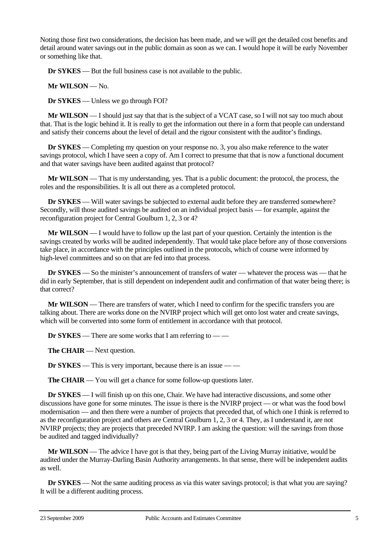Noting those first two considerations, the decision has been made, and we will get the detailed cost benefits and detail around water savings out in the public domain as soon as we can. I would hope it will be early November or something like that.

**Dr SYKES** — But the full business case is not available to the public.

**Mr WILSON** — No.

**Dr SYKES** — Unless we go through FOI?

**Mr WILSON** — I should just say that that is the subject of a VCAT case, so I will not say too much about that. That is the logic behind it. It is really to get the information out there in a form that people can understand and satisfy their concerns about the level of detail and the rigour consistent with the auditor's findings.

**Dr SYKES** — Completing my question on your response no. 3, you also make reference to the water savings protocol, which I have seen a copy of. Am I correct to presume that that is now a functional document and that water savings have been audited against that protocol?

**Mr WILSON** — That is my understanding, yes. That is a public document: the protocol, the process, the roles and the responsibilities. It is all out there as a completed protocol.

**Dr SYKES** — Will water savings be subjected to external audit before they are transferred somewhere? Secondly, will those audited savings be audited on an individual project basis — for example, against the reconfiguration project for Central Goulburn 1, 2, 3 or 4?

**Mr WILSON** — I would have to follow up the last part of your question. Certainly the intention is the savings created by works will be audited independently. That would take place before any of those conversions take place, in accordance with the principles outlined in the protocols, which of course were informed by high-level committees and so on that are fed into that process.

**Dr SYKES** — So the minister's announcement of transfers of water — whatever the process was — that he did in early September, that is still dependent on independent audit and confirmation of that water being there; is that correct?

**Mr WILSON** — There are transfers of water, which I need to confirm for the specific transfers you are talking about. There are works done on the NVIRP project which will get onto lost water and create savings, which will be converted into some form of entitlement in accordance with that protocol.

**Dr SYKES** — There are some works that I am referring to — —

**The CHAIR** — Next question.

**Dr SYKES** — This is very important, because there is an issue — —

**The CHAIR** — You will get a chance for some follow-up questions later.

**Dr SYKES** — I will finish up on this one, Chair. We have had interactive discussions, and some other discussions have gone for some minutes. The issue is there is the NVIRP project — or what was the food bowl modernisation — and then there were a number of projects that preceded that, of which one I think is referred to as the reconfiguration project and others are Central Goulburn 1, 2, 3 or 4. They, as I understand it, are not NVIRP projects; they are projects that preceded NVIRP. I am asking the question: will the savings from those be audited and tagged individually?

**Mr WILSON** — The advice I have got is that they, being part of the Living Murray initiative, would be audited under the Murray-Darling Basin Authority arrangements. In that sense, there will be independent audits as well.

**Dr <b>SYKES** — Not the same auditing process as via this water savings protocol; is that what you are saying? It will be a different auditing process.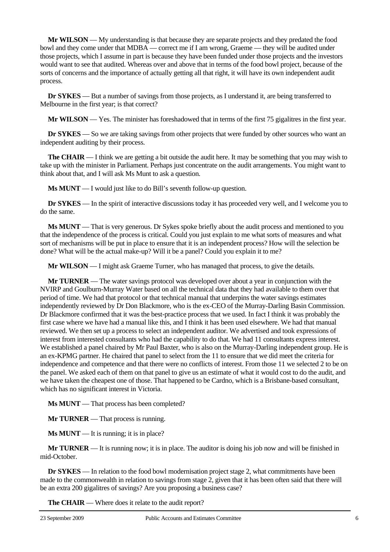**Mr WILSON** — My understanding is that because they are separate projects and they predated the food bowl and they come under that MDBA — correct me if I am wrong, Graeme — they will be audited under those projects, which I assume in part is because they have been funded under those projects and the investors would want to see that audited. Whereas over and above that in terms of the food bowl project, because of the sorts of concerns and the importance of actually getting all that right, it will have its own independent audit process.

**Dr SYKES** — But a number of savings from those projects, as I understand it, are being transferred to Melbourne in the first year; is that correct?

**Mr WILSON** — Yes. The minister has foreshadowed that in terms of the first 75 gigalitres in the first year.

**Dr SYKES** — So we are taking savings from other projects that were funded by other sources who want an independent auditing by their process.

**The CHAIR** — I think we are getting a bit outside the audit here. It may be something that you may wish to take up with the minister in Parliament. Perhaps just concentrate on the audit arrangements. You might want to think about that, and I will ask Ms Munt to ask a question.

**Ms MUNT** — I would just like to do Bill's seventh follow-up question.

**Dr SYKES** — In the spirit of interactive discussions today it has proceeded very well, and I welcome you to do the same.

**Ms MUNT** — That is very generous. Dr Sykes spoke briefly about the audit process and mentioned to you that the independence of the process is critical. Could you just explain to me what sorts of measures and what sort of mechanisms will be put in place to ensure that it is an independent process? How will the selection be done? What will be the actual make-up? Will it be a panel? Could you explain it to me?

**Mr WILSON** — I might ask Graeme Turner, who has managed that process, to give the details.

**Mr TURNER** — The water savings protocol was developed over about a year in conjunction with the NVIRP and Goulburn-Murray Water based on all the technical data that they had available to them over that period of time. We had that protocol or that technical manual that underpins the water savings estimates independently reviewed by Dr Don Blackmore, who is the ex-CEO of the Murray-Darling Basin Commission. Dr Blackmore confirmed that it was the best-practice process that we used. In fact I think it was probably the first case where we have had a manual like this, and I think it has been used elsewhere. We had that manual reviewed. We then set up a process to select an independent auditor. We advertised and took expressions of interest from interested consultants who had the capability to do that. We had 11 consultants express interest. We established a panel chaired by Mr Paul Baxter, who is also on the Murray-Darling independent group. He is an ex-KPMG partner. He chaired that panel to select from the 11 to ensure that we did meet the criteria for independence and competence and that there were no conflicts of interest. From those 11 we selected 2 to be on the panel. We asked each of them on that panel to give us an estimate of what it would cost to do the audit, and we have taken the cheapest one of those. That happened to be Cardno, which is a Brisbane-based consultant, which has no significant interest in Victoria.

**Ms MUNT** — That process has been completed?

**Mr TURNER** — That process is running.

**Ms MUNT** — It is running; it is in place?

**Mr TURNER** — It is running now; it is in place. The auditor is doing his job now and will be finished in mid-October.

**Dr SYKES** — In relation to the food bowl modernisation project stage 2, what commitments have been made to the commonwealth in relation to savings from stage 2, given that it has been often said that there will be an extra 200 gigalitres of savings? Are you proposing a business case?

**The CHAIR** — Where does it relate to the audit report?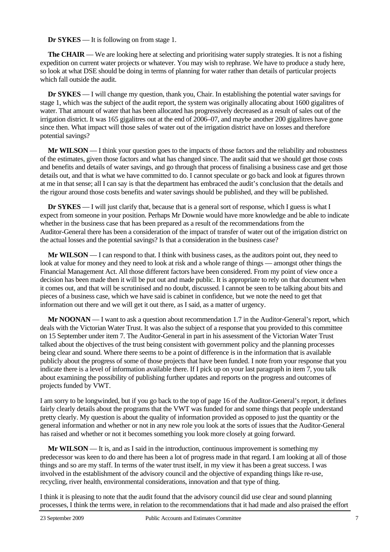**Dr SYKES** — It is following on from stage 1.

**The CHAIR** — We are looking here at selecting and prioritising water supply strategies. It is not a fishing expedition on current water projects or whatever. You may wish to rephrase. We have to produce a study here, so look at what DSE should be doing in terms of planning for water rather than details of particular projects which fall outside the audit.

**Dr SYKES** — I will change my question, thank you, Chair. In establishing the potential water savings for stage 1, which was the subject of the audit report, the system was originally allocating about 1600 gigalitres of water. That amount of water that has been allocated has progressively decreased as a result of sales out of the irrigation district. It was 165 gigalitres out at the end of 2006–07, and maybe another 200 gigalitres have gone since then. What impact will those sales of water out of the irrigation district have on losses and therefore potential savings?

**Mr WILSON** — I think your question goes to the impacts of those factors and the reliability and robustness of the estimates, given those factors and what has changed since. The audit said that we should get those costs and benefits and details of water savings, and go through that process of finalising a business case and get those details out, and that is what we have committed to do. I cannot speculate or go back and look at figures thrown at me in that sense; all I can say is that the department has embraced the audit's conclusion that the details and the rigour around those costs benefits and water savings should be published, and they will be published.

**Dr SYKES** — I will just clarify that, because that is a general sort of response, which I guess is what I expect from someone in your position. Perhaps Mr Downie would have more knowledge and be able to indicate whether in the business case that has been prepared as a result of the recommendations from the Auditor-General there has been a consideration of the impact of transfer of water out of the irrigation district on the actual losses and the potential savings? Is that a consideration in the business case?

**Mr WILSON** — I can respond to that. I think with business cases, as the auditors point out, they need to look at value for money and they need to look at risk and a whole range of things — amongst other things the Financial Management Act. All those different factors have been considered. From my point of view once a decision has been made then it will be put out and made public. It is appropriate to rely on that document when it comes out, and that will be scrutinised and no doubt, discussed. I cannot be seen to be talking about bits and pieces of a business case, which we have said is cabinet in confidence, but we note the need to get that information out there and we will get it out there, as I said, as a matter of urgency.

**Mr NOONAN** — I want to ask a question about recommendation 1.7 in the Auditor-General's report, which deals with the Victorian Water Trust. It was also the subject of a response that you provided to this committee on 15 September under item 7. The Auditor-General in part in his assessment of the Victorian Water Trust talked about the objectives of the trust being consistent with government policy and the planning processes being clear and sound. Where there seems to be a point of difference is in the information that is available publicly about the progress of some of those projects that have been funded. I note from your response that you indicate there is a level of information available there. If I pick up on your last paragraph in item 7, you talk about examining the possibility of publishing further updates and reports on the progress and outcomes of projects funded by VWT.

I am sorry to be longwinded, but if you go back to the top of page 16 of the Auditor-General's report, it defines fairly clearly details about the programs that the VWT was funded for and some things that people understand pretty clearly. My question is about the quality of information provided as opposed to just the quantity or the general information and whether or not in any new role you look at the sorts of issues that the Auditor-General has raised and whether or not it becomes something you look more closely at going forward.

**Mr WILSON** — It is, and as I said in the introduction, continuous improvement is something my predecessor was keen to do and there has been a lot of progress made in that regard. I am looking at all of those things and so are my staff. In terms of the water trust itself, in my view it has been a great success. I was involved in the establishment of the advisory council and the objective of expanding things like re-use, recycling, river health, environmental considerations, innovation and that type of thing.

I think it is pleasing to note that the audit found that the advisory council did use clear and sound planning processes, I think the terms were, in relation to the recommendations that it had made and also praised the effort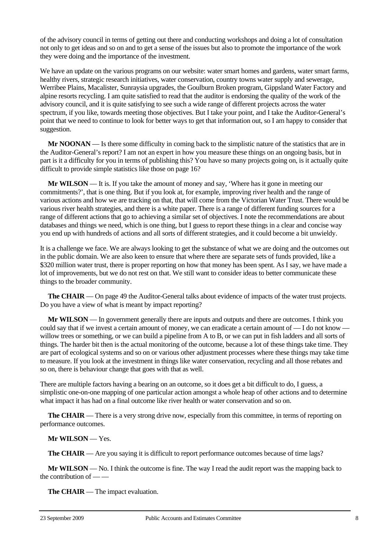of the advisory council in terms of getting out there and conducting workshops and doing a lot of consultation not only to get ideas and so on and to get a sense of the issues but also to promote the importance of the work they were doing and the importance of the investment.

We have an update on the various programs on our website: water smart homes and gardens, water smart farms, healthy rivers, strategic research initiatives, water conservation, country towns water supply and sewerage, Werribee Plains, Macalister, Sunraysia upgrades, the Goulburn Broken program, Gippsland Water Factory and alpine resorts recycling. I am quite satisfied to read that the auditor is endorsing the quality of the work of the advisory council, and it is quite satisfying to see such a wide range of different projects across the water spectrum, if you like, towards meeting those objectives. But I take your point, and I take the Auditor-General's point that we need to continue to look for better ways to get that information out, so I am happy to consider that suggestion.

**Mr NOONAN** — Is there some difficulty in coming back to the simplistic nature of the statistics that are in the Auditor-General's report? I am not an expert in how you measure these things on an ongoing basis, but in part is it a difficulty for you in terms of publishing this? You have so many projects going on, is it actually quite difficult to provide simple statistics like those on page 16?

**Mr WILSON** — It is. If you take the amount of money and say, 'Where has it gone in meeting our commitments?', that is one thing. But if you look at, for example, improving river health and the range of various actions and how we are tracking on that, that will come from the Victorian Water Trust. There would be various river health strategies, and there is a white paper. There is a range of different funding sources for a range of different actions that go to achieving a similar set of objectives. I note the recommendations are about databases and things we need, which is one thing, but I guess to report these things in a clear and concise way you end up with hundreds of actions and all sorts of different strategies, and it could become a bit unwieldy.

It is a challenge we face. We are always looking to get the substance of what we are doing and the outcomes out in the public domain. We are also keen to ensure that where there are separate sets of funds provided, like a \$320 million water trust, there is proper reporting on how that money has been spent. As I say, we have made a lot of improvements, but we do not rest on that. We still want to consider ideas to better communicate these things to the broader community.

**The CHAIR** — On page 49 the Auditor-General talks about evidence of impacts of the water trust projects. Do you have a view of what is meant by impact reporting?

**Mr WILSON** — In government generally there are inputs and outputs and there are outcomes. I think you could say that if we invest a certain amount of money, we can eradicate a certain amount of — I do not know willow trees or something, or we can build a pipeline from A to B, or we can put in fish ladders and all sorts of things. The harder bit then is the actual monitoring of the outcome, because a lot of these things take time. They are part of ecological systems and so on or various other adjustment processes where these things may take time to measure. If you look at the investment in things like water conservation, recycling and all those rebates and so on, there is behaviour change that goes with that as well.

There are multiple factors having a bearing on an outcome, so it does get a bit difficult to do, I guess, a simplistic one-on-one mapping of one particular action amongst a whole heap of other actions and to determine what impact it has had on a final outcome like river health or water conservation and so on.

**The CHAIR** — There is a very strong drive now, especially from this committee, in terms of reporting on performance outcomes.

## **Mr WILSON** — Yes.

**The CHAIR** — Are you saying it is difficult to report performance outcomes because of time lags?

**Mr WILSON** — No. I think the outcome is fine. The way I read the audit report was the mapping back to the contribution of — —

**The CHAIR** — The impact evaluation.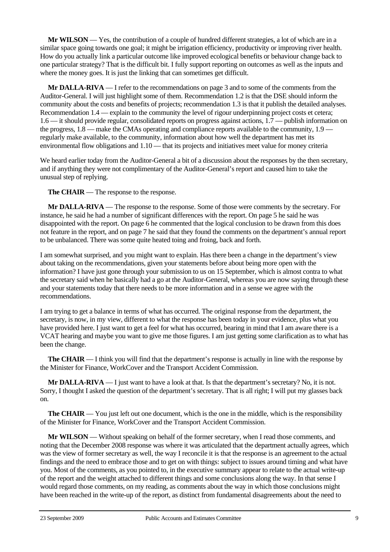**Mr WILSON** — Yes, the contribution of a couple of hundred different strategies, a lot of which are in a similar space going towards one goal; it might be irrigation efficiency, productivity or improving river health. How do you actually link a particular outcome like improved ecological benefits or behaviour change back to one particular strategy? That is the difficult bit. I fully support reporting on outcomes as well as the inputs and where the money goes. It is just the linking that can sometimes get difficult.

**Mr DALLA-RIVA** — I refer to the recommendations on page 3 and to some of the comments from the Auditor-General. I will just highlight some of them. Recommendation 1.2 is that the DSE should inform the community about the costs and benefits of projects; recommendation 1.3 is that it publish the detailed analyses. Recommendation 1.4 — explain to the community the level of rigour underpinning project costs et cetera; 1.6 — it should provide regular, consolidated reports on progress against actions, 1.7 — publish information on the progress, 1.8 — make the CMAs operating and compliance reports available to the community, 1.9 regularly make available, to the community, information about how well the department has met its environmental flow obligations and 1.10 — that its projects and initiatives meet value for money criteria

We heard earlier today from the Auditor-General a bit of a discussion about the responses by the then secretary, and if anything they were not complimentary of the Auditor-General's report and caused him to take the unusual step of replying.

**The CHAIR** — The response to the response.

**Mr DALLA-RIVA** — The response to the response. Some of those were comments by the secretary. For instance, he said he had a number of significant differences with the report. On page 5 he said he was disappointed with the report. On page 6 he commented that the logical conclusion to be drawn from this does not feature in the report, and on page 7 he said that they found the comments on the department's annual report to be unbalanced. There was some quite heated toing and froing, back and forth.

I am somewhat surprised, and you might want to explain. Has there been a change in the department's view about taking on the recommendations, given your statements before about being more open with the information? I have just gone through your submission to us on 15 September, which is almost contra to what the secretary said when he basically had a go at the Auditor-General, whereas you are now saying through these and your statements today that there needs to be more information and in a sense we agree with the recommendations.

I am trying to get a balance in terms of what has occurred. The original response from the department, the secretary, is now, in my view, different to what the response has been today in your evidence, plus what you have provided here. I just want to get a feel for what has occurred, bearing in mind that I am aware there is a VCAT hearing and maybe you want to give me those figures. I am just getting some clarification as to what has been the change.

**The CHAIR** — I think you will find that the department's response is actually in line with the response by the Minister for Finance, WorkCover and the Transport Accident Commission.

**Mr DALLA-RIVA** — I just want to have a look at that. Is that the department's secretary? No, it is not. Sorry, I thought I asked the question of the department's secretary. That is all right; I will put my glasses back on.

**The CHAIR** — You just left out one document, which is the one in the middle, which is the responsibility of the Minister for Finance, WorkCover and the Transport Accident Commission.

**Mr WILSON** — Without speaking on behalf of the former secretary, when I read those comments, and noting that the December 2008 response was where it was articulated that the department actually agrees, which was the view of former secretary as well, the way I reconcile it is that the response is an agreement to the actual findings and the need to embrace those and to get on with things: subject to issues around timing and what have you. Most of the comments, as you pointed to, in the executive summary appear to relate to the actual write-up of the report and the weight attached to different things and some conclusions along the way. In that sense I would regard those comments, on my reading, as comments about the way in which those conclusions might have been reached in the write-up of the report, as distinct from fundamental disagreements about the need to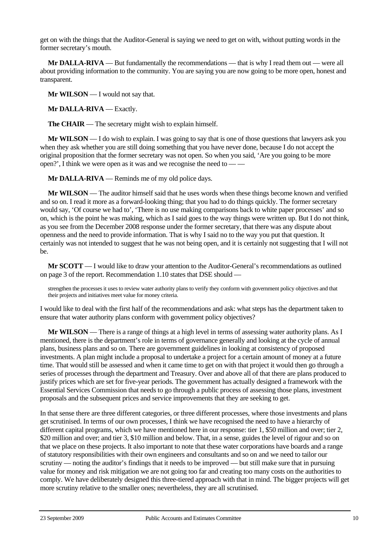get on with the things that the Auditor-General is saying we need to get on with, without putting words in the former secretary's mouth.

**Mr DALLA-RIVA** — But fundamentally the recommendations — that is why I read them out — were all about providing information to the community. You are saying you are now going to be more open, honest and transparent.

**Mr WILSON** — I would not say that.

**Mr DALLA-RIVA** — Exactly.

**The CHAIR** — The secretary might wish to explain himself.

**Mr WILSON** — I do wish to explain. I was going to say that is one of those questions that lawyers ask you when they ask whether you are still doing something that you have never done, because I do not accept the original proposition that the former secretary was not open. So when you said, 'Are you going to be more open?', I think we were open as it was and we recognise the need to — —

**Mr DALLA-RIVA** — Reminds me of my old police days.

**Mr WILSON** — The auditor himself said that he uses words when these things become known and verified and so on. I read it more as a forward-looking thing; that you had to do things quickly. The former secretary would say, 'Of course we had to', 'There is no use making comparisons back to white paper processes' and so on, which is the point he was making, which as I said goes to the way things were written up. But I do not think, as you see from the December 2008 response under the former secretary, that there was any dispute about openness and the need to provide information. That is why I said no to the way you put that question. It certainly was not intended to suggest that he was not being open, and it is certainly not suggesting that I will not be.

**Mr SCOTT** — I would like to draw your attention to the Auditor-General's recommendations as outlined on page 3 of the report. Recommendation 1.10 states that DSE should —

strengthen the processes it uses to review water authority plans to verify they conform with government policy objectives and that their projects and initiatives meet value for money criteria.

I would like to deal with the first half of the recommendations and ask: what steps has the department taken to ensure that water authority plans conform with government policy objectives?

**Mr WILSON** — There is a range of things at a high level in terms of assessing water authority plans. As I mentioned, there is the department's role in terms of governance generally and looking at the cycle of annual plans, business plans and so on. There are government guidelines in looking at consistency of proposed investments. A plan might include a proposal to undertake a project for a certain amount of money at a future time. That would still be assessed and when it came time to get on with that project it would then go through a series of processes through the department and Treasury. Over and above all of that there are plans produced to justify prices which are set for five-year periods. The government has actually designed a framework with the Essential Services Commission that needs to go through a public process of assessing those plans, investment proposals and the subsequent prices and service improvements that they are seeking to get.

In that sense there are three different categories, or three different processes, where those investments and plans get scrutinised. In terms of our own processes, I think we have recognised the need to have a hierarchy of different capital programs, which we have mentioned here in our response: tier 1, \$50 million and over; tier 2, \$20 million and over; and tier 3, \$10 million and below. That, in a sense, guides the level of rigour and so on that we place on these projects. It also important to note that these water corporations have boards and a range of statutory responsibilities with their own engineers and consultants and so on and we need to tailor our scrutiny — noting the auditor's findings that it needs to be improved — but still make sure that in pursuing value for money and risk mitigation we are not going too far and creating too many costs on the authorities to comply. We have deliberately designed this three-tiered approach with that in mind. The bigger projects will get more scrutiny relative to the smaller ones; nevertheless, they are all scrutinised.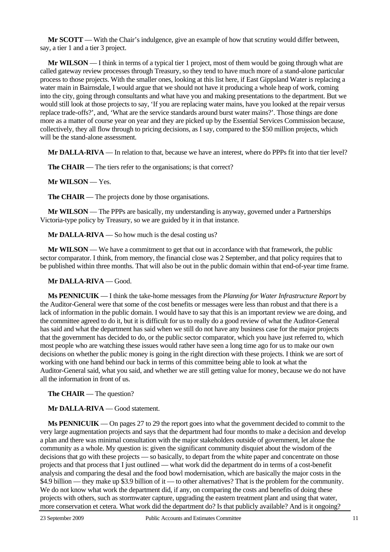**Mr SCOTT** — With the Chair's indulgence, give an example of how that scrutiny would differ between, say, a tier 1 and a tier 3 project.

**Mr WILSON** — I think in terms of a typical tier 1 project, most of them would be going through what are called gateway review processes through Treasury, so they tend to have much more of a stand-alone particular process to those projects. With the smaller ones, looking at this list here, if East Gippsland Water is replacing a water main in Bairnsdale, I would argue that we should not have it producing a whole heap of work, coming into the city, going through consultants and what have you and making presentations to the department. But we would still look at those projects to say, 'If you are replacing water mains, have you looked at the repair versus replace trade-offs?', and, 'What are the service standards around burst water mains?'. Those things are done more as a matter of course year on year and they are picked up by the Essential Services Commission because, collectively, they all flow through to pricing decisions, as I say, compared to the \$50 million projects, which will be the stand-alone assessment.

**Mr DALLA-RIVA** — In relation to that, because we have an interest, where do PPPs fit into that tier level?

**The CHAIR** — The tiers refer to the organisations; is that correct?

**Mr WILSON** — Yes.

**The CHAIR** — The projects done by those organisations.

**Mr WILSON** — The PPPs are basically, my understanding is anyway, governed under a Partnerships Victoria-type policy by Treasury, so we are guided by it in that instance.

**Mr DALLA-RIVA** — So how much is the desal costing us?

**Mr WILSON** — We have a commitment to get that out in accordance with that framework, the public sector comparator. I think, from memory, the financial close was 2 September, and that policy requires that to be published within three months. That will also be out in the public domain within that end-of-year time frame.

**Mr DALLA-RIVA** — Good.

**Ms PENNICUIK** — I think the take-home messages from the *Planning for Water Infrastructure Report* by the Auditor-General were that some of the cost benefits or messages were less than robust and that there is a lack of information in the public domain. I would have to say that this is an important review we are doing, and the committee agreed to do it, but it is difficult for us to really do a good review of what the Auditor-General has said and what the department has said when we still do not have any business case for the major projects that the government has decided to do, or the public sector comparator, which you have just referred to, which most people who are watching these issues would rather have seen a long time ago for us to make our own decisions on whether the public money is going in the right direction with these projects. I think we are sort of working with one hand behind our back in terms of this committee being able to look at what the Auditor-General said, what you said, and whether we are still getting value for money, because we do not have all the information in front of us.

**The CHAIR** — The question?

**Mr DALLA-RIVA** — Good statement.

**Ms PENNICUIK** — On pages 27 to 29 the report goes into what the government decided to commit to the very large augmentation projects and says that the department had four months to make a decision and develop a plan and there was minimal consultation with the major stakeholders outside of government, let alone the community as a whole. My question is: given the significant community disquiet about the wisdom of the decisions that go with these projects — so basically, to depart from the white paper and concentrate on those projects and that process that I just outlined — what work did the department do in terms of a cost-benefit analysis and comparing the desal and the food bowl modernisation, which are basically the major costs in the \$4.9 billion — they make up \$3.9 billion of it — to other alternatives? That is the problem for the community. We do not know what work the department did, if any, on comparing the costs and benefits of doing these projects with others, such as stormwater capture, upgrading the eastern treatment plant and using that water, more conservation et cetera. What work did the department do? Is that publicly available? And is it ongoing?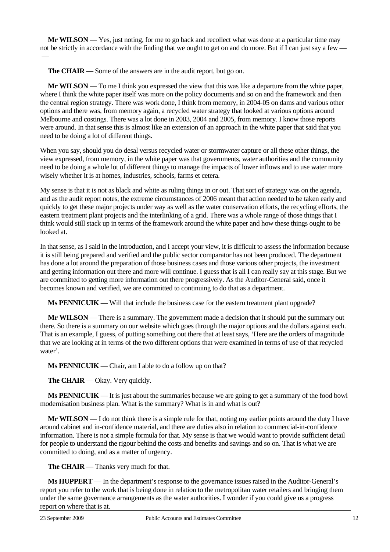**Mr WILSON** — Yes, just noting, for me to go back and recollect what was done at a particular time may not be strictly in accordance with the finding that we ought to get on and do more. But if I can just say a few

**The CHAIR** — Some of the answers are in the audit report, but go on.

 $\overline{\phantom{0}}$ 

**Mr WILSON** — To me I think you expressed the view that this was like a departure from the white paper, where I think the white paper itself was more on the policy documents and so on and the framework and then the central region strategy. There was work done, I think from memory, in 2004-05 on dams and various other options and there was, from memory again, a recycled water strategy that looked at various options around Melbourne and costings. There was a lot done in 2003, 2004 and 2005, from memory. I know those reports were around. In that sense this is almost like an extension of an approach in the white paper that said that you need to be doing a lot of different things.

When you say, should you do desal versus recycled water or stormwater capture or all these other things, the view expressed, from memory, in the white paper was that governments, water authorities and the community need to be doing a whole lot of different things to manage the impacts of lower inflows and to use water more wisely whether it is at homes, industries, schools, farms et cetera.

My sense is that it is not as black and white as ruling things in or out. That sort of strategy was on the agenda, and as the audit report notes, the extreme circumstances of 2006 meant that action needed to be taken early and quickly to get these major projects under way as well as the water conservation efforts, the recycling efforts, the eastern treatment plant projects and the interlinking of a grid. There was a whole range of those things that I think would still stack up in terms of the framework around the white paper and how these things ought to be looked at.

In that sense, as I said in the introduction, and I accept your view, it is difficult to assess the information because it is still being prepared and verified and the public sector comparator has not been produced. The department has done a lot around the preparation of those business cases and those various other projects, the investment and getting information out there and more will continue. I guess that is all I can really say at this stage. But we are committed to getting more information out there progressively. As the Auditor-General said, once it becomes known and verified, we are committed to continuing to do that as a department.

**Ms PENNICUIK** — Will that include the business case for the eastern treatment plant upgrade?

**Mr WILSON** — There is a summary. The government made a decision that it should put the summary out there. So there is a summary on our website which goes through the major options and the dollars against each. That is an example, I guess, of putting something out there that at least says, 'Here are the orders of magnitude that we are looking at in terms of the two different options that were examined in terms of use of that recycled water'.

**Ms PENNICUIK** — Chair, am I able to do a follow up on that?

**The CHAIR** — Okay. Very quickly.

**Ms PENNICUIK** — It is just about the summaries because we are going to get a summary of the food bowl modernisation business plan. What is the summary? What is in and what is out?

**Mr WILSON** — I do not think there is a simple rule for that, noting my earlier points around the duty I have around cabinet and in-confidence material, and there are duties also in relation to commercial-in-confidence information. There is not a simple formula for that. My sense is that we would want to provide sufficient detail for people to understand the rigour behind the costs and benefits and savings and so on. That is what we are committed to doing, and as a matter of urgency.

**The CHAIR** — Thanks very much for that.

**Ms HUPPERT** — In the department's response to the governance issues raised in the Auditor-General's report you refer to the work that is being done in relation to the metropolitan water retailers and bringing them under the same governance arrangements as the water authorities. I wonder if you could give us a progress report on where that is at.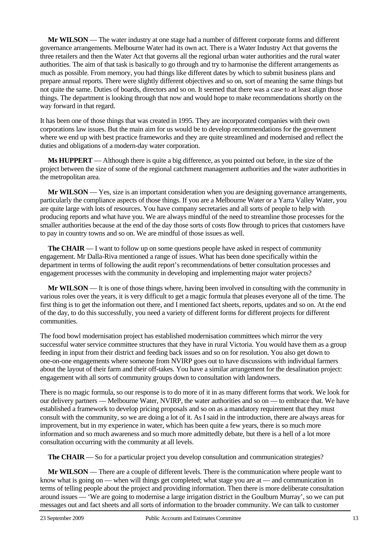**Mr WILSON** — The water industry at one stage had a number of different corporate forms and different governance arrangements. Melbourne Water had its own act. There is a Water Industry Act that governs the three retailers and then the Water Act that governs all the regional urban water authorities and the rural water authorities. The aim of that task is basically to go through and try to harmonise the different arrangements as much as possible. From memory, you had things like different dates by which to submit business plans and prepare annual reports. There were slightly different objectives and so on, sort of meaning the same things but not quite the same. Duties of boards, directors and so on. It seemed that there was a case to at least align those things. The department is looking through that now and would hope to make recommendations shortly on the way forward in that regard.

It has been one of those things that was created in 1995. They are incorporated companies with their own corporations law issues. But the main aim for us would be to develop recommendations for the government where we end up with best practice frameworks and they are quite streamlined and modernised and reflect the duties and obligations of a modern-day water corporation.

**Ms HUPPERT** — Although there is quite a big difference, as you pointed out before, in the size of the project between the size of some of the regional catchment management authorities and the water authorities in the metropolitan area.

**Mr WILSON** — Yes, size is an important consideration when you are designing governance arrangements, particularly the compliance aspects of those things. If you are a Melbourne Water or a Yarra Valley Water, you are quite large with lots of resources. You have company secretaries and all sorts of people to help with producing reports and what have you. We are always mindful of the need to streamline those processes for the smaller authorities because at the end of the day those sorts of costs flow through to prices that customers have to pay in country towns and so on. We are mindful of those issues as well.

**The CHAIR** — I want to follow up on some questions people have asked in respect of community engagement. Mr Dalla-Riva mentioned a range of issues. What has been done specifically within the department in terms of following the audit report's recommendations of better consultation processes and engagement processes with the community in developing and implementing major water projects?

**Mr WILSON** — It is one of those things where, having been involved in consulting with the community in various roles over the years, it is very difficult to get a magic formula that pleases everyone all of the time. The first thing is to get the information out there, and I mentioned fact sheets, reports, updates and so on. At the end of the day, to do this successfully, you need a variety of different forms for different projects for different communities.

The food bowl modernisation project has established modernisation committees which mirror the very successful water service committee structures that they have in rural Victoria. You would have them as a group feeding in input from their district and feeding back issues and so on for resolution. You also get down to one-on-one engagements where someone from NVIRP goes out to have discussions with individual farmers about the layout of their farm and their off-takes. You have a similar arrangement for the desalination project: engagement with all sorts of community groups down to consultation with landowners.

There is no magic formula, so our response is to do more of it in as many different forms that work. We look for our delivery partners — Melbourne Water, NVIRP, the water authorities and so on — to embrace that. We have established a framework to develop pricing proposals and so on as a mandatory requirement that they must consult with the community, so we are doing a lot of it. As I said in the introduction, there are always areas for improvement, but in my experience in water, which has been quite a few years, there is so much more information and so much awareness and so much more admittedly debate, but there is a hell of a lot more consultation occurring with the community at all levels.

**The CHAIR** — So for a particular project you develop consultation and communication strategies?

**Mr WILSON** — There are a couple of different levels. There is the communication where people want to know what is going on — when will things get completed; what stage you are at — and communication in terms of telling people about the project and providing information. Then there is more deliberate consultation around issues — 'We are going to modernise a large irrigation district in the Goulburn Murray', so we can put messages out and fact sheets and all sorts of information to the broader community. We can talk to customer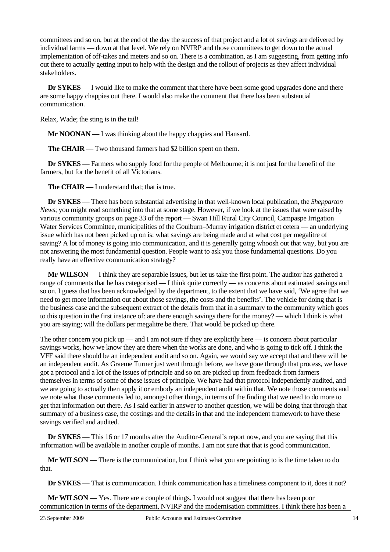committees and so on, but at the end of the day the success of that project and a lot of savings are delivered by individual farms — down at that level. We rely on NVIRP and those committees to get down to the actual implementation of off-takes and meters and so on. There is a combination, as I am suggesting, from getting info out there to actually getting input to help with the design and the rollout of projects as they affect individual stakeholders.

**Dr SYKES** — I would like to make the comment that there have been some good upgrades done and there are some happy chappies out there. I would also make the comment that there has been substantial communication.

Relax, Wade; the sting is in the tail!

**Mr NOONAN** — I was thinking about the happy chappies and Hansard.

**The CHAIR** — Two thousand farmers had \$2 billion spent on them.

**Dr SYKES** — Farmers who supply food for the people of Melbourne; it is not just for the benefit of the farmers, but for the benefit of all Victorians.

**The CHAIR** — I understand that; that is true.

**Dr SYKES** — There has been substantial advertising in that well-known local publication, the *Shepparton News*; you might read something into that at some stage. However, if we look at the issues that were raised by various community groups on page 33 of the report — Swan Hill Rural City Council, Campaspe Irrigation Water Services Committee, municipalities of the Goulburn–Murray irrigation district et cetera — an underlying issue which has not been picked up on is: what savings are being made and at what cost per megalitre of saving? A lot of money is going into communication, and it is generally going whoosh out that way, but you are not answering the most fundamental question. People want to ask you those fundamental questions. Do you really have an effective communication strategy?

**Mr WILSON** — I think they are separable issues, but let us take the first point. The auditor has gathered a range of comments that he has categorised — I think quite correctly — as concerns about estimated savings and so on. I guess that has been acknowledged by the department, to the extent that we have said, 'We agree that we need to get more information out about those savings, the costs and the benefits'. The vehicle for doing that is the business case and the subsequent extract of the details from that in a summary to the community which goes to this question in the first instance of: are there enough savings there for the money? — which I think is what you are saying; will the dollars per megalitre be there. That would be picked up there.

The other concern you pick up — and I am not sure if they are explicitly here — is concern about particular savings works, how we know they are there when the works are done, and who is going to tick off. I think the VFF said there should be an independent audit and so on. Again, we would say we accept that and there will be an independent audit. As Graeme Turner just went through before, we have gone through that process, we have got a protocol and a lot of the issues of principle and so on are picked up from feedback from farmers themselves in terms of some of those issues of principle. We have had that protocol independently audited, and we are going to actually then apply it or embody an independent audit within that. We note those comments and we note what those comments led to, amongst other things, in terms of the finding that we need to do more to get that information out there. As I said earlier in answer to another question, we will be doing that through that summary of a business case, the costings and the details in that and the independent framework to have these savings verified and audited.

**Dr SYKES** — This 16 or 17 months after the Auditor-General's report now, and you are saying that this information will be available in another couple of months. I am not sure that that is good communication.

**Mr WILSON** — There is the communication, but I think what you are pointing to is the time taken to do that.

**Dr SYKES** — That is communication. I think communication has a timeliness component to it, does it not?

**Mr WILSON** — Yes. There are a couple of things. I would not suggest that there has been poor communication in terms of the department, NVIRP and the modernisation committees. I think there has been a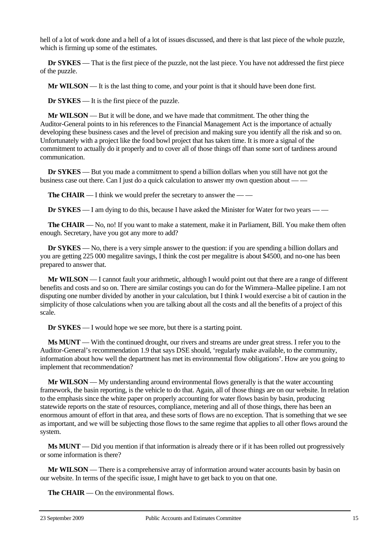hell of a lot of work done and a hell of a lot of issues discussed, and there is that last piece of the whole puzzle, which is firming up some of the estimates.

**Dr SYKES** — That is the first piece of the puzzle, not the last piece. You have not addressed the first piece of the puzzle.

**Mr WILSON** — It is the last thing to come, and your point is that it should have been done first.

**Dr SYKES** — It is the first piece of the puzzle.

**Mr WILSON** — But it will be done, and we have made that commitment. The other thing the Auditor-General points to in his references to the Financial Management Act is the importance of actually developing these business cases and the level of precision and making sure you identify all the risk and so on. Unfortunately with a project like the food bowl project that has taken time. It is more a signal of the commitment to actually do it properly and to cover all of those things off than some sort of tardiness around communication.

**Dr SYKES** — But you made a commitment to spend a billion dollars when you still have not got the business case out there. Can I just do a quick calculation to answer my own question about — —

**The CHAIR** — I think we would prefer the secretary to answer the — —

**Dr SYKES** — I am dying to do this, because I have asked the Minister for Water for two years — —

**The CHAIR** — No, no! If you want to make a statement, make it in Parliament, Bill. You make them often enough. Secretary, have you got any more to add?

**Dr SYKES** — No, there is a very simple answer to the question: if you are spending a billion dollars and you are getting 225 000 megalitre savings, I think the cost per megalitre is about \$4500, and no-one has been prepared to answer that.

**Mr WILSON** — I cannot fault your arithmetic, although I would point out that there are a range of different benefits and costs and so on. There are similar costings you can do for the Wimmera–Mallee pipeline. I am not disputing one number divided by another in your calculation, but I think I would exercise a bit of caution in the simplicity of those calculations when you are talking about all the costs and all the benefits of a project of this scale.

**Dr SYKES** — I would hope we see more, but there is a starting point.

**Ms MUNT** — With the continued drought, our rivers and streams are under great stress. I refer you to the Auditor-General's recommendation 1.9 that says DSE should, 'regularly make available, to the community, information about how well the department has met its environmental flow obligations'. How are you going to implement that recommendation?

**Mr WILSON** — My understanding around environmental flows generally is that the water accounting framework, the basin reporting, is the vehicle to do that. Again, all of those things are on our website. In relation to the emphasis since the white paper on properly accounting for water flows basin by basin, producing statewide reports on the state of resources, compliance, metering and all of those things, there has been an enormous amount of effort in that area, and these sorts of flows are no exception. That is something that we see as important, and we will be subjecting those flows to the same regime that applies to all other flows around the system.

**Ms MUNT** — Did you mention if that information is already there or if it has been rolled out progressively or some information is there?

**Mr WILSON** — There is a comprehensive array of information around water accounts basin by basin on our website. In terms of the specific issue, I might have to get back to you on that one.

**The CHAIR** — On the environmental flows.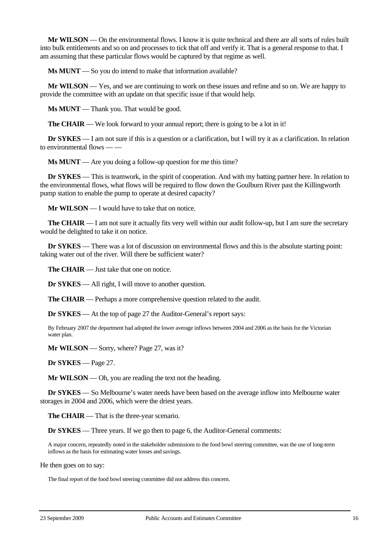**Mr WILSON** — On the environmental flows. I know it is quite technical and there are all sorts of rules built into bulk entitlements and so on and processes to tick that off and verify it. That is a general response to that. I am assuming that these particular flows would be captured by that regime as well.

**Ms MUNT** — So you do intend to make that information available?

**Mr WILSON** — Yes, and we are continuing to work on these issues and refine and so on. We are happy to provide the committee with an update on that specific issue if that would help.

**Ms MUNT** — Thank you. That would be good.

**The CHAIR** — We look forward to your annual report; there is going to be a lot in it!

**Dr SYKES** — I am not sure if this is a question or a clarification, but I will try it as a clarification. In relation to environmental flows — -

**Ms MUNT** — Are you doing a follow-up question for me this time?

**Dr SYKES** — This is teamwork, in the spirit of cooperation. And with my batting partner here. In relation to the environmental flows, what flows will be required to flow down the Goulburn River past the Killingworth pump station to enable the pump to operate at desired capacity?

**Mr WILSON** — I would have to take that on notice.

**The CHAIR** — I am not sure it actually fits very well within our audit follow-up, but I am sure the secretary would be delighted to take it on notice.

**Dr <b>SYKES** — There was a lot of discussion on environmental flows and this is the absolute starting point: taking water out of the river. Will there be sufficient water?

**The CHAIR** — Just take that one on notice.

**Dr SYKES** — All right, I will move to another question.

**The CHAIR** — Perhaps a more comprehensive question related to the audit.

**Dr SYKES** — At the top of page 27 the Auditor-General's report says:

By February 2007 the department had adopted the lower average inflows between 2004 and 2006 as the basis for the Victorian water plan.

**Mr WILSON** — Sorry, where? Page 27, was it?

**Dr SYKES** — Page 27.

**Mr WILSON** — Oh, you are reading the text not the heading.

**Dr SYKES** — So Melbourne's water needs have been based on the average inflow into Melbourne water storages in 2004 and 2006, which were the driest years.

**The CHAIR** — That is the three-year scenario.

**Dr SYKES** — Three years. If we go then to page 6, the Auditor-General comments:

A major concern, repeatedly noted in the stakeholder submissions to the food bowl steering committee, was the use of long-term inflows as the basis for estimating water losses and savings.

He then goes on to say:

The final report of the food bowl steering committee did not address this concern.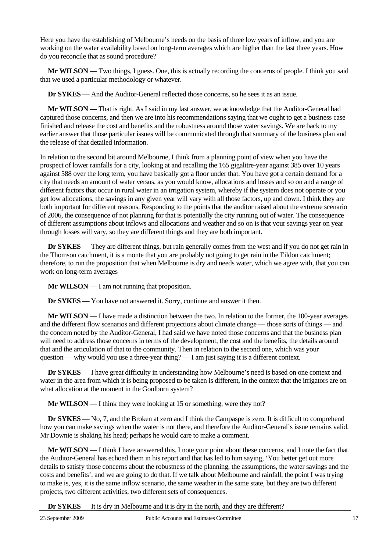Here you have the establishing of Melbourne's needs on the basis of three low years of inflow, and you are working on the water availability based on long-term averages which are higher than the last three years. How do you reconcile that as sound procedure?

**Mr WILSON** — Two things, I guess. One, this is actually recording the concerns of people. I think you said that we used a particular methodology or whatever.

**Dr SYKES** — And the Auditor-General reflected those concerns, so he sees it as an issue.

**Mr WILSON** — That is right. As I said in my last answer, we acknowledge that the Auditor-General had captured those concerns, and then we are into his recommendations saying that we ought to get a business case finished and release the cost and benefits and the robustness around those water savings. We are back to my earlier answer that those particular issues will be communicated through that summary of the business plan and the release of that detailed information.

In relation to the second bit around Melbourne, I think from a planning point of view when you have the prospect of lower rainfalls for a city, looking at and recalling the 165 gigalitre-year against 385 over 10 years against 588 over the long term, you have basically got a floor under that. You have got a certain demand for a city that needs an amount of water versus, as you would know, allocations and losses and so on and a range of different factors that occur in rural water in an irrigation system, whereby if the system does not operate or you get low allocations, the savings in any given year will vary with all those factors, up and down. I think they are both important for different reasons. Responding to the points that the auditor raised about the extreme scenario of 2006, the consequence of not planning for that is potentially the city running out of water. The consequence of different assumptions about inflows and allocations and weather and so on is that your savings year on year through losses will vary, so they are different things and they are both important.

**Dr SYKES** — They are different things, but rain generally comes from the west and if you do not get rain in the Thomson catchment, it is a monte that you are probably not going to get rain in the Eildon catchment; therefore, to run the proposition that when Melbourne is dry and needs water, which we agree with, that you can work on long-term averages -

**Mr WILSON** — I am not running that proposition.

**Dr SYKES** — You have not answered it. Sorry, continue and answer it then.

**Mr WILSON** — I have made a distinction between the two. In relation to the former, the 100-year averages and the different flow scenarios and different projections about climate change — those sorts of things — and the concern noted by the Auditor-General, I had said we have noted those concerns and that the business plan will need to address those concerns in terms of the development, the cost and the benefits, the details around that and the articulation of that to the community. Then in relation to the second one, which was your question — why would you use a three-year thing? — I am just saying it is a different context.

**Dr SYKES** — I have great difficulty in understanding how Melbourne's need is based on one context and water in the area from which it is being proposed to be taken is different, in the context that the irrigators are on what allocation at the moment in the Goulburn system?

**Mr WILSON** — I think they were looking at 15 or something, were they not?

**Dr SYKES** — No, 7, and the Broken at zero and I think the Campaspe is zero. It is difficult to comprehend how you can make savings when the water is not there, and therefore the Auditor-General's issue remains valid. Mr Downie is shaking his head; perhaps he would care to make a comment.

**Mr WILSON** — I think I have answered this. I note your point about these concerns, and I note the fact that the Auditor-General has echoed them in his report and that has led to him saying, 'You better get out more details to satisfy those concerns about the robustness of the planning, the assumptions, the water savings and the costs and benefits', and we are going to do that. If we talk about Melbourne and rainfall, the point I was trying to make is, yes, it is the same inflow scenario, the same weather in the same state, but they are two different projects, two different activities, two different sets of consequences.

**Dr SYKES** — It is dry in Melbourne and it is dry in the north, and they are different?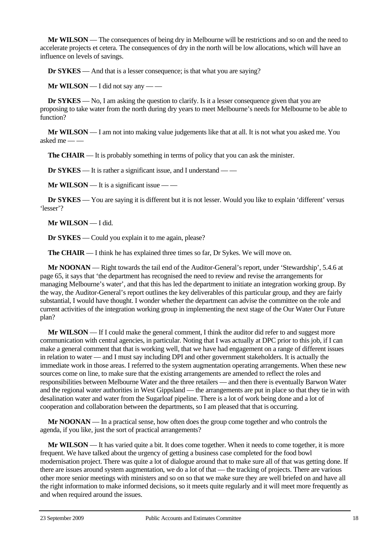**Mr WILSON** — The consequences of being dry in Melbourne will be restrictions and so on and the need to accelerate projects et cetera. The consequences of dry in the north will be low allocations, which will have an influence on levels of savings.

**Dr SYKES** — And that is a lesser consequence; is that what you are saying?

**Mr WILSON** — I did not say any — —

**Dr SYKES** — No, I am asking the question to clarify. Is it a lesser consequence given that you are proposing to take water from the north during dry years to meet Melbourne's needs for Melbourne to be able to function?

**Mr WILSON** — I am not into making value judgements like that at all. It is not what you asked me. You asked me — —

**The CHAIR** — It is probably something in terms of policy that you can ask the minister.

**Dr SYKES** — It is rather a significant issue, and I understand — —

**Mr WILSON** — It is a significant issue — —

**Dr <b>SYKES** — You are saying it is different but it is not lesser. Would you like to explain 'different' versus 'lesser'?

**Mr WILSON** — I did.

**Dr SYKES** — Could you explain it to me again, please?

**The CHAIR** — I think he has explained three times so far, Dr Sykes. We will move on.

**Mr NOONAN** — Right towards the tail end of the Auditor-General's report, under 'Stewardship', 5.4.6 at page 65, it says that 'the department has recognised the need to review and revise the arrangements for managing Melbourne's water', and that this has led the department to initiate an integration working group. By the way, the Auditor-General's report outlines the key deliverables of this particular group, and they are fairly substantial, I would have thought. I wonder whether the department can advise the committee on the role and current activities of the integration working group in implementing the next stage of the Our Water Our Future plan?

**Mr WILSON** — If I could make the general comment, I think the auditor did refer to and suggest more communication with central agencies, in particular. Noting that I was actually at DPC prior to this job, if I can make a general comment that that is working well, that we have had engagement on a range of different issues in relation to water — and I must say including DPI and other government stakeholders. It is actually the immediate work in those areas. I referred to the system augmentation operating arrangements. When these new sources come on line, to make sure that the existing arrangements are amended to reflect the roles and responsibilities between Melbourne Water and the three retailers — and then there is eventually Barwon Water and the regional water authorities in West Gippsland — the arrangements are put in place so that they tie in with desalination water and water from the Sugarloaf pipeline. There is a lot of work being done and a lot of cooperation and collaboration between the departments, so I am pleased that that is occurring.

**Mr NOONAN** — In a practical sense, how often does the group come together and who controls the agenda, if you like, just the sort of practical arrangements?

**Mr WILSON** — It has varied quite a bit. It does come together. When it needs to come together, it is more frequent. We have talked about the urgency of getting a business case completed for the food bowl modernisation project. There was quite a lot of dialogue around that to make sure all of that was getting done. If there are issues around system augmentation, we do a lot of that — the tracking of projects. There are various other more senior meetings with ministers and so on so that we make sure they are well briefed on and have all the right information to make informed decisions, so it meets quite regularly and it will meet more frequently as and when required around the issues.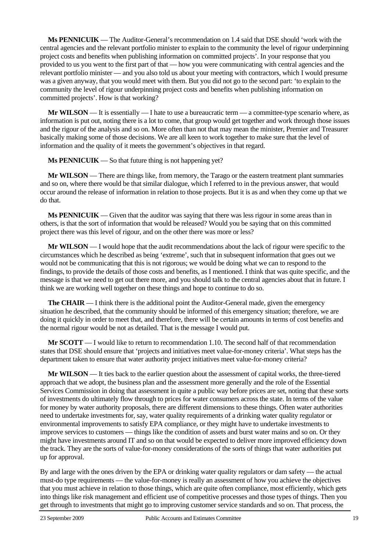**Ms PENNICUIK** — The Auditor-General's recommendation on 1.4 said that DSE should 'work with the central agencies and the relevant portfolio minister to explain to the community the level of rigour underpinning project costs and benefits when publishing information on committed projects'. In your response that you provided to us you went to the first part of that — how you were communicating with central agencies and the relevant portfolio minister — and you also told us about your meeting with contractors, which I would presume was a given anyway, that you would meet with them. But you did not go to the second part: 'to explain to the community the level of rigour underpinning project costs and benefits when publishing information on committed projects'. How is that working?

**Mr WILSON** — It is essentially — I hate to use a bureaucratic term — a committee-type scenario where, as information is put out, noting there is a lot to come, that group would get together and work through those issues and the rigour of the analysis and so on. More often than not that may mean the minister, Premier and Treasurer basically making some of those decisions. We are all keen to work together to make sure that the level of information and the quality of it meets the government's objectives in that regard.

**Ms PENNICUIK** — So that future thing is not happening yet?

**Mr WILSON** — There are things like, from memory, the Tarago or the eastern treatment plant summaries and so on, where there would be that similar dialogue, which I referred to in the previous answer, that would occur around the release of information in relation to those projects. But it is as and when they come up that we do that.

**Ms PENNICUIK** — Given that the auditor was saying that there was less rigour in some areas than in others, is that the sort of information that would be released? Would you be saying that on this committed project there was this level of rigour, and on the other there was more or less?

**Mr WILSON** — I would hope that the audit recommendations about the lack of rigour were specific to the circumstances which he described as being 'extreme', such that in subsequent information that goes out we would not be communicating that this is not rigorous; we would be doing what we can to respond to the findings, to provide the details of those costs and benefits, as I mentioned. I think that was quite specific, and the message is that we need to get out there more, and you should talk to the central agencies about that in future. I think we are working well together on these things and hope to continue to do so.

**The CHAIR** — I think there is the additional point the Auditor-General made, given the emergency situation he described, that the community should be informed of this emergency situation; therefore, we are doing it quickly in order to meet that, and therefore, there will be certain amounts in terms of cost benefits and the normal rigour would be not as detailed. That is the message I would put.

**Mr SCOTT** — I would like to return to recommendation 1.10. The second half of that recommendation states that DSE should ensure that 'projects and initiatives meet value-for-money criteria'. What steps has the department taken to ensure that water authority project initiatives meet value-for-money criteria?

**Mr WILSON** — It ties back to the earlier question about the assessment of capital works, the three-tiered approach that we adopt, the business plan and the assessment more generally and the role of the Essential Services Commission in doing that assessment in quite a public way before prices are set, noting that these sorts of investments do ultimately flow through to prices for water consumers across the state. In terms of the value for money by water authority proposals, there are different dimensions to these things. Often water authorities need to undertake investments for, say, water quality requirements of a drinking water quality regulator or environmental improvements to satisfy EPA compliance, or they might have to undertake investments to improve services to customers — things like the condition of assets and burst water mains and so on. Or they might have investments around IT and so on that would be expected to deliver more improved efficiency down the track. They are the sorts of value-for-money considerations of the sorts of things that water authorities put up for approval.

By and large with the ones driven by the EPA or drinking water quality regulators or dam safety — the actual must-do type requirements — the value-for-money is really an assessment of how you achieve the objectives that you must achieve in relation to those things, which are quite often compliance, most efficiently, which gets into things like risk management and efficient use of competitive processes and those types of things. Then you get through to investments that might go to improving customer service standards and so on. That process, the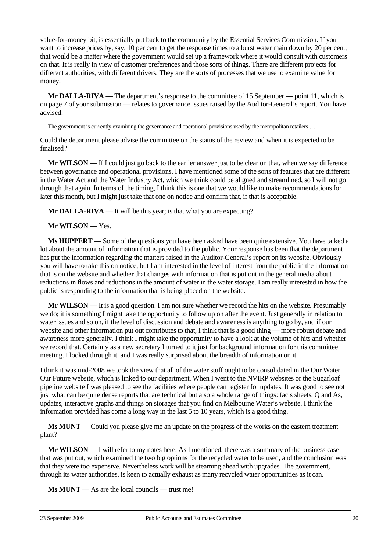value-for-money bit, is essentially put back to the community by the Essential Services Commission. If you want to increase prices by, say, 10 per cent to get the response times to a burst water main down by 20 per cent, that would be a matter where the government would set up a framework where it would consult with customers on that. It is really in view of customer preferences and those sorts of things. There are different projects for different authorities, with different drivers. They are the sorts of processes that we use to examine value for money.

**Mr DALLA-RIVA** — The department's response to the committee of 15 September — point 11, which is on page 7 of your submission — relates to governance issues raised by the Auditor-General's report. You have advised:

The government is currently examining the governance and operational provisions used by the metropolitan retailers ...

Could the department please advise the committee on the status of the review and when it is expected to be finalised?

**Mr WILSON** — If I could just go back to the earlier answer just to be clear on that, when we say difference between governance and operational provisions, I have mentioned some of the sorts of features that are different in the Water Act and the Water Industry Act, which we think could be aligned and streamlined, so I will not go through that again. In terms of the timing, I think this is one that we would like to make recommendations for later this month, but I might just take that one on notice and confirm that, if that is acceptable.

**Mr DALLA-RIVA** — It will be this year; is that what you are expecting?

### **Mr WILSON** — Yes.

**Ms HUPPERT** — Some of the questions you have been asked have been quite extensive. You have talked a lot about the amount of information that is provided to the public. Your response has been that the department has put the information regarding the matters raised in the Auditor-General's report on its website. Obviously you will have to take this on notice, but I am interested in the level of interest from the public in the information that is on the website and whether that changes with information that is put out in the general media about reductions in flows and reductions in the amount of water in the water storage. I am really interested in how the public is responding to the information that is being placed on the website.

**Mr WILSON** — It is a good question. I am not sure whether we record the hits on the website. Presumably we do; it is something I might take the opportunity to follow up on after the event. Just generally in relation to water issues and so on, if the level of discussion and debate and awareness is anything to go by, and if our website and other information put out contributes to that, I think that is a good thing — more robust debate and awareness more generally. I think I might take the opportunity to have a look at the volume of hits and whether we record that. Certainly as a new secretary I turned to it just for background information for this committee meeting. I looked through it, and I was really surprised about the breadth of information on it.

I think it was mid-2008 we took the view that all of the water stuff ought to be consolidated in the Our Water Our Future website, which is linked to our department. When I went to the NVIRP websites or the Sugarloaf pipeline website I was pleased to see the facilities where people can register for updates. It was good to see not just what can be quite dense reports that are technical but also a whole range of things: facts sheets, Q and As, updates, interactive graphs and things on storages that you find on Melbourne Water's website. I think the information provided has come a long way in the last 5 to 10 years, which is a good thing.

**Ms MUNT** — Could you please give me an update on the progress of the works on the eastern treatment plant?

**Mr WILSON** — I will refer to my notes here. As I mentioned, there was a summary of the business case that was put out, which examined the two big options for the recycled water to be used, and the conclusion was that they were too expensive. Nevertheless work will be steaming ahead with upgrades. The government, through its water authorities, is keen to actually exhaust as many recycled water opportunities as it can.

**Ms MUNT** — As are the local councils — trust me!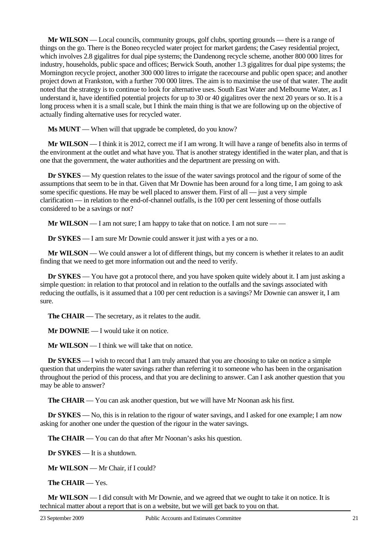**Mr WILSON** — Local councils, community groups, golf clubs, sporting grounds — there is a range of things on the go. There is the Boneo recycled water project for market gardens; the Casey residential project, which involves 2.8 gigalitres for dual pipe systems; the Dandenong recycle scheme, another 800 000 litres for industry, households, public space and offices; Berwick South, another 1.3 gigalitres for dual pipe systems; the Mornington recycle project, another 300 000 litres to irrigate the racecourse and public open space; and another project down at Frankston, with a further 700 000 litres. The aim is to maximise the use of that water. The audit noted that the strategy is to continue to look for alternative uses. South East Water and Melbourne Water, as I understand it, have identified potential projects for up to 30 or 40 gigalitres over the next 20 years or so. It is a long process when it is a small scale, but I think the main thing is that we are following up on the objective of actually finding alternative uses for recycled water.

**Ms MUNT** — When will that upgrade be completed, do you know?

**Mr WILSON** — I think it is 2012, correct me if I am wrong. It will have a range of benefits also in terms of the environment at the outlet and what have you. That is another strategy identified in the water plan, and that is one that the government, the water authorities and the department are pressing on with.

**Dr SYKES** — My question relates to the issue of the water savings protocol and the rigour of some of the assumptions that seem to be in that. Given that Mr Downie has been around for a long time, I am going to ask some specific questions. He may be well placed to answer them. First of all  $-$  just a very simple clarification — in relation to the end-of-channel outfalls, is the 100 per cent lessening of those outfalls considered to be a savings or not?

**Mr WILSON** — I am not sure; I am happy to take that on notice. I am not sure — —

**Dr SYKES** — I am sure Mr Downie could answer it just with a yes or a no.

**Mr WILSON** — We could answer a lot of different things, but my concern is whether it relates to an audit finding that we need to get more information out and the need to verify.

**Dr SYKES** — You have got a protocol there, and you have spoken quite widely about it. I am just asking a simple question: in relation to that protocol and in relation to the outfalls and the savings associated with reducing the outfalls, is it assumed that a 100 per cent reduction is a savings? Mr Downie can answer it, I am sure.

**The CHAIR** — The secretary, as it relates to the audit.

**Mr DOWNIE** — I would take it on notice.

**Mr WILSON** — I think we will take that on notice.

**Dr SYKES** — I wish to record that I am truly amazed that you are choosing to take on notice a simple question that underpins the water savings rather than referring it to someone who has been in the organisation throughout the period of this process, and that you are declining to answer. Can I ask another question that you may be able to answer?

**The CHAIR** — You can ask another question, but we will have Mr Noonan ask his first.

**Dr SYKES** — No, this is in relation to the rigour of water savings, and I asked for one example; I am now asking for another one under the question of the rigour in the water savings.

**The CHAIR** — You can do that after Mr Noonan's asks his question.

**Dr SYKES** — It is a shutdown.

**Mr WILSON** — Mr Chair, if I could?

**The CHAIR** — Yes.

**Mr WILSON** — I did consult with Mr Downie, and we agreed that we ought to take it on notice. It is technical matter about a report that is on a website, but we will get back to you on that.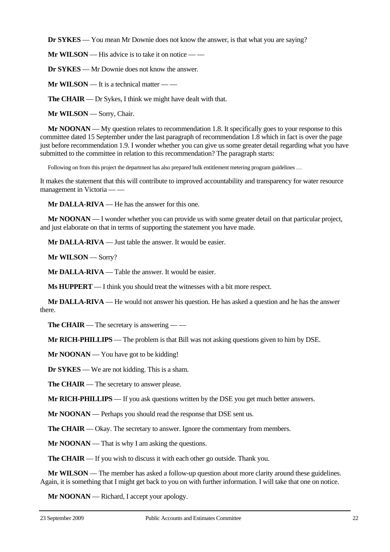**Dr SYKES** — You mean Mr Downie does not know the answer, is that what you are saying?

**Mr WILSON** — His advice is to take it on notice — —

**Dr SYKES** — Mr Downie does not know the answer.

**Mr WILSON** — It is a technical matter — —

**The CHAIR** — Dr Sykes, I think we might have dealt with that.

**Mr WILSON** — Sorry, Chair.

**Mr NOONAN** — My question relates to recommendation 1.8. It specifically goes to your response to this committee dated 15 September under the last paragraph of recommendation 1.8 which in fact is over the page just before recommendation 1.9. I wonder whether you can give us some greater detail regarding what you have submitted to the committee in relation to this recommendation? The paragraph starts:

Following on from this project the department has also prepared bulk entitlement metering program guidelines ...

It makes the statement that this will contribute to improved accountability and transparency for water resource management in Victoria — —

**Mr DALLA-RIVA** — He has the answer for this one.

**Mr NOONAN** — I wonder whether you can provide us with some greater detail on that particular project, and just elaborate on that in terms of supporting the statement you have made.

**Mr DALLA-RIVA** — Just table the answer. It would be easier.

**Mr WILSON** — Sorry?

**Mr DALLA-RIVA** — Table the answer. It would be easier.

**Ms HUPPERT** — I think you should treat the witnesses with a bit more respect.

**Mr DALLA-RIVA** — He would not answer his question. He has asked a question and he has the answer there.

**The CHAIR** — The secretary is answering — —

**Mr RICH-PHILLIPS** — The problem is that Bill was not asking questions given to him by DSE.

**Mr NOONAN** — You have got to be kidding!

**Dr SYKES** — We are not kidding. This is a sham.

**The CHAIR** — The secretary to answer please.

**Mr RICH-PHILLIPS** — If you ask questions written by the DSE you get much better answers.

**Mr NOONAN** — Perhaps you should read the response that DSE sent us.

**The CHAIR** — Okay. The secretary to answer. Ignore the commentary from members.

**Mr NOONAN** — That is why I am asking the questions.

**The CHAIR** — If you wish to discuss it with each other go outside. Thank you.

**Mr WILSON** — The member has asked a follow-up question about more clarity around these guidelines. Again, it is something that I might get back to you on with further information. I will take that one on notice.

**Mr NOONAN** — Richard, I accept your apology.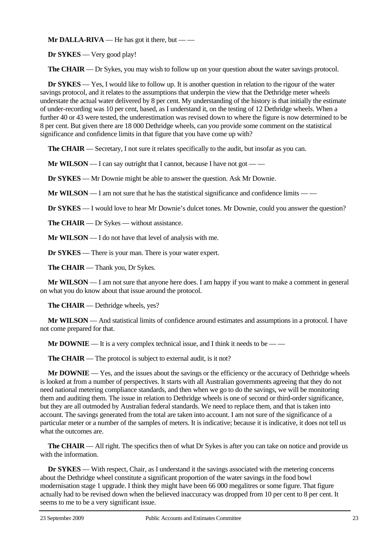**Mr DALLA-RIVA** — He has got it there, but — —

**Dr SYKES** — Very good play!

**The CHAIR** — Dr Sykes, you may wish to follow up on your question about the water savings protocol.

**Dr SYKES** — Yes, I would like to follow up. It is another question in relation to the rigour of the water savings protocol, and it relates to the assumptions that underpin the view that the Dethridge meter wheels understate the actual water delivered by 8 per cent. My understanding of the history is that initially the estimate of under-recording was 10 per cent, based, as I understand it, on the testing of 12 Dethridge wheels. When a further 40 or 43 were tested, the underestimation was revised down to where the figure is now determined to be 8 per cent. But given there are 18 000 Dethridge wheels, can you provide some comment on the statistical significance and confidence limits in that figure that you have come up with?

**The CHAIR** — Secretary, I not sure it relates specifically to the audit, but insofar as you can.

**Mr WILSON** — I can say outright that I cannot, because I have not got — —

**Dr SYKES** — Mr Downie might be able to answer the question. Ask Mr Downie.

**Mr WILSON** — I am not sure that he has the statistical significance and confidence limits — —

**Dr SYKES** — I would love to hear Mr Downie's dulcet tones. Mr Downie, could you answer the question?

**The CHAIR** — Dr Sykes — without assistance.

**Mr WILSON** — I do not have that level of analysis with me.

**Dr SYKES** — There is your man. There is your water expert.

**The CHAIR** — Thank you, Dr Sykes.

**Mr WILSON** — I am not sure that anyone here does. I am happy if you want to make a comment in general on what you do know about that issue around the protocol.

**The CHAIR** — Dethridge wheels, yes?

**Mr WILSON** — And statistical limits of confidence around estimates and assumptions in a protocol. I have not come prepared for that.

**Mr DOWNIE** — It is a very complex technical issue, and I think it needs to be — —

**The CHAIR** — The protocol is subject to external audit, is it not?

**Mr DOWNIE** — Yes, and the issues about the savings or the efficiency or the accuracy of Dethridge wheels is looked at from a number of perspectives. It starts with all Australian governments agreeing that they do not need national metering compliance standards, and then when we go to do the savings, we will be monitoring them and auditing them. The issue in relation to Dethridge wheels is one of second or third-order significance, but they are all outmoded by Australian federal standards. We need to replace them, and that is taken into account. The savings generated from the total are taken into account. I am not sure of the significance of a particular meter or a number of the samples of meters. It is indicative; because it is indicative, it does not tell us what the outcomes are.

**The CHAIR** — All right. The specifics then of what Dr Sykes is after you can take on notice and provide us with the information.

**Dr SYKES** — With respect, Chair, as I understand it the savings associated with the metering concerns about the Dethridge wheel constitute a significant proportion of the water savings in the food bowl modernisation stage 1 upgrade. I think they might have been 66 000 megalitres or some figure. That figure actually had to be revised down when the believed inaccuracy was dropped from 10 per cent to 8 per cent. It seems to me to be a very significant issue.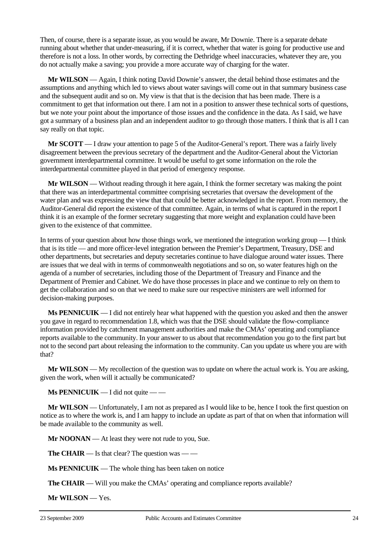Then, of course, there is a separate issue, as you would be aware, Mr Downie. There is a separate debate running about whether that under-measuring, if it is correct, whether that water is going for productive use and therefore is not a loss. In other words, by correcting the Dethridge wheel inaccuracies, whatever they are, you do not actually make a saving; you provide a more accurate way of charging for the water.

**Mr WILSON** — Again, I think noting David Downie's answer, the detail behind those estimates and the assumptions and anything which led to views about water savings will come out in that summary business case and the subsequent audit and so on. My view is that that is the decision that has been made. There is a commitment to get that information out there. I am not in a position to answer these technical sorts of questions, but we note your point about the importance of those issues and the confidence in the data. As I said, we have got a summary of a business plan and an independent auditor to go through those matters. I think that is all I can say really on that topic.

**Mr SCOTT** — I draw your attention to page 5 of the Auditor-General's report. There was a fairly lively disagreement between the previous secretary of the department and the Auditor-General about the Victorian government interdepartmental committee. It would be useful to get some information on the role the interdepartmental committee played in that period of emergency response.

**Mr WILSON** — Without reading through it here again, I think the former secretary was making the point that there was an interdepartmental committee comprising secretaries that oversaw the development of the water plan and was expressing the view that that could be better acknowledged in the report. From memory, the Auditor-General did report the existence of that committee. Again, in terms of what is captured in the report I think it is an example of the former secretary suggesting that more weight and explanation could have been given to the existence of that committee.

In terms of your question about how those things work, we mentioned the integration working group — I think that is its title — and more officer-level integration between the Premier's Department, Treasury, DSE and other departments, but secretaries and deputy secretaries continue to have dialogue around water issues. There are issues that we deal with in terms of commonwealth negotiations and so on, so water features high on the agenda of a number of secretaries, including those of the Department of Treasury and Finance and the Department of Premier and Cabinet. We do have those processes in place and we continue to rely on them to get the collaboration and so on that we need to make sure our respective ministers are well informed for decision-making purposes.

**Ms PENNICUIK** — I did not entirely hear what happened with the question you asked and then the answer you gave in regard to recommendation 1.8, which was that the DSE should validate the flow-compliance information provided by catchment management authorities and make the CMAs' operating and compliance reports available to the community. In your answer to us about that recommendation you go to the first part but not to the second part about releasing the information to the community. Can you update us where you are with that?

**Mr WILSON** — My recollection of the question was to update on where the actual work is. You are asking, given the work, when will it actually be communicated?

**Ms PENNICUIK** — I did not quite — —

**Mr WILSON** — Unfortunately, I am not as prepared as I would like to be, hence I took the first question on notice as to where the work is, and I am happy to include an update as part of that on when that information will be made available to the community as well.

**Mr NOONAN** — At least they were not rude to you, Sue.

**The CHAIR** — Is that clear? The question was — —

**Ms PENNICUIK** — The whole thing has been taken on notice

**The CHAIR** — Will you make the CMAs' operating and compliance reports available?

**Mr WILSON** — Yes.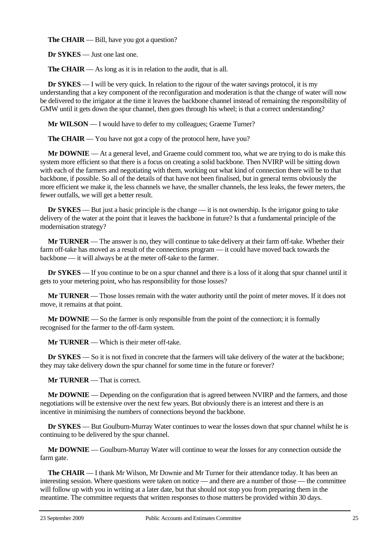**The CHAIR** — Bill, have you got a question?

**Dr SYKES** — Just one last one.

**The CHAIR** — As long as it is in relation to the audit, that is all.

**Dr SYKES** — I will be very quick. In relation to the rigour of the water savings protocol, it is my understanding that a key component of the reconfiguration and moderation is that the change of water will now be delivered to the irrigator at the time it leaves the backbone channel instead of remaining the responsibility of GMW until it gets down the spur channel, then goes through his wheel; is that a correct understanding?

**Mr WILSON** — I would have to defer to my colleagues; Graeme Turner?

**The CHAIR** — You have not got a copy of the protocol here, have you?

**Mr DOWNIE** — At a general level, and Graeme could comment too, what we are trying to do is make this system more efficient so that there is a focus on creating a solid backbone. Then NVIRP will be sitting down with each of the farmers and negotiating with them, working out what kind of connection there will be to that backbone, if possible. So all of the details of that have not been finalised, but in general terms obviously the more efficient we make it, the less channels we have, the smaller channels, the less leaks, the fewer meters, the fewer outfalls, we will get a better result.

**Dr SYKES** — But just a basic principle is the change — it is not ownership. Is the irrigator going to take delivery of the water at the point that it leaves the backbone in future? Is that a fundamental principle of the modernisation strategy?

**Mr TURNER** — The answer is no, they will continue to take delivery at their farm off-take. Whether their farm off-take has moved as a result of the connections program — it could have moved back towards the backbone — it will always be at the meter off-take to the farmer.

**Dr SYKES** — If you continue to be on a spur channel and there is a loss of it along that spur channel until it gets to your metering point, who has responsibility for those losses?

**Mr TURNER** — Those losses remain with the water authority until the point of meter moves. If it does not move, it remains at that point.

**Mr DOWNIE** — So the farmer is only responsible from the point of the connection; it is formally recognised for the farmer to the off-farm system.

**Mr TURNER** — Which is their meter off-take.

**Dr SYKES** — So it is not fixed in concrete that the farmers will take delivery of the water at the backbone; they may take delivery down the spur channel for some time in the future or forever?

**Mr TURNER** — That is correct.

**Mr DOWNIE** — Depending on the configuration that is agreed between NVIRP and the farmers, and those negotiations will be extensive over the next few years. But obviously there is an interest and there is an incentive in minimising the numbers of connections beyond the backbone.

**Dr SYKES** — But Goulburn-Murray Water continues to wear the losses down that spur channel whilst he is continuing to be delivered by the spur channel.

**Mr DOWNIE** — Goulburn-Murray Water will continue to wear the losses for any connection outside the farm gate.

**The CHAIR** — I thank Mr Wilson, Mr Downie and Mr Turner for their attendance today. It has been an interesting session. Where questions were taken on notice — and there are a number of those — the committee will follow up with you in writing at a later date, but that should not stop you from preparing them in the meantime. The committee requests that written responses to those matters be provided within 30 days.